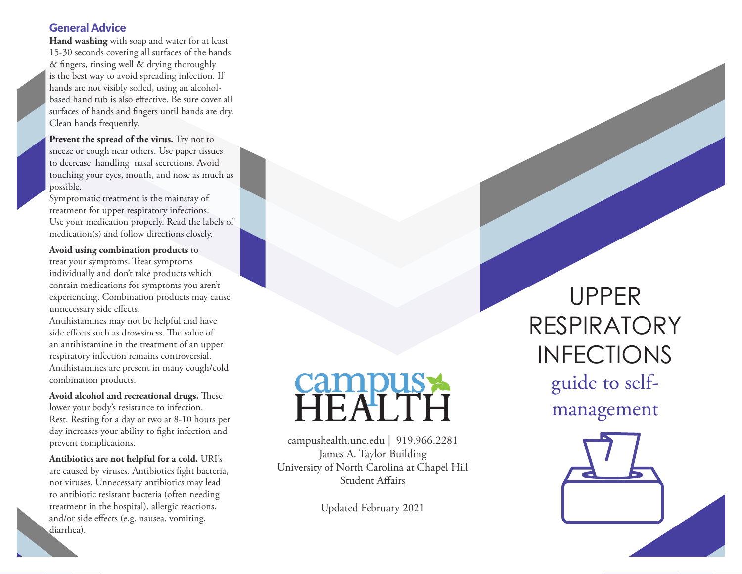## General Advice

**Hand washing** with soap and water for at least 15-30 seconds covering all surfaces of the hands & fingers, rinsing well & drying thoroughly is the best way to avoid spreading infection. If hands are not visibly soiled, using an alcoholbased hand rub is also effective. Be sure cover all surfaces of hands and fingers until hands are dry. Clean hands frequently.

**Prevent the spread of the virus.** Try not to sneeze or cough near others. Use paper tissues to decrease handling nasal secretions. Avoid touching your eyes, mouth, and nose as much as possible.

Symptomatic treatment is the mainstay of treatment for upper respiratory infections. Use your medication properly. Read the labels of medication(s) and follow directions closely.

**Avoid using combination products** to treat your symptoms. Treat symptoms individually and don't take products which contain medications for symptoms you aren't experiencing. Combination products may cause unnecessary side effects.

Antihistamines may not be helpful and have side effects such as drowsiness. The value of an antihistamine in the treatment of an upper respiratory infection remains controversial. Antihistamines are present in many cough/cold combination products.

**Avoid alcohol and recreational drugs.** These lower your body's resistance to infection. Rest. Resting for a day or two at 8-10 hours per day increases your ability to fight infection and prevent complications.

**Antibiotics are not helpful for a cold.** URI's are caused by viruses. Antibiotics fight bacteria, not viruses. Unnecessary antibiotics may lead to antibiotic resistant bacteria (often needing treatment in the hospital), allergic reactions, and/or side effects (e.g. nausea, vomiting, diarrhea).

campushealth.unc.edu | 919.966.2281 James A. Taylor Building University of North Carolina at Chapel Hill Student Affairs

Updated February 2021

UPPER RESPIRATORY INFECTIONS guide to selfmanagement